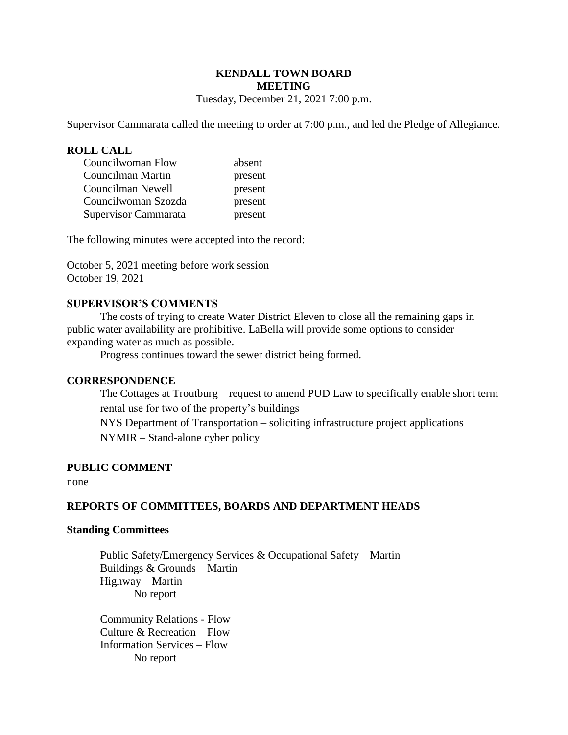# **KENDALL TOWN BOARD MEETING**

Tuesday, December 21, 2021 7:00 p.m.

Supervisor Cammarata called the meeting to order at 7:00 p.m., and led the Pledge of Allegiance.

### **ROLL CALL**

| Councilwoman Flow    | absent  |
|----------------------|---------|
| Councilman Martin    | present |
| Councilman Newell    | present |
| Councilwoman Szozda  | present |
| Supervisor Cammarata | present |

The following minutes were accepted into the record:

October 5, 2021 meeting before work session October 19, 2021

### **SUPERVISOR'S COMMENTS**

The costs of trying to create Water District Eleven to close all the remaining gaps in public water availability are prohibitive. LaBella will provide some options to consider expanding water as much as possible.

Progress continues toward the sewer district being formed.

#### **CORRESPONDENCE**

The Cottages at Troutburg – request to amend PUD Law to specifically enable short term rental use for two of the property's buildings

NYS Department of Transportation – soliciting infrastructure project applications NYMIR – Stand-alone cyber policy

#### **PUBLIC COMMENT**

none

### **REPORTS OF COMMITTEES, BOARDS AND DEPARTMENT HEADS**

#### **Standing Committees**

 Public Safety/Emergency Services & Occupational Safety – Martin Buildings & Grounds – Martin Highway – Martin No report

Community Relations - Flow Culture & Recreation – Flow Information Services – Flow No report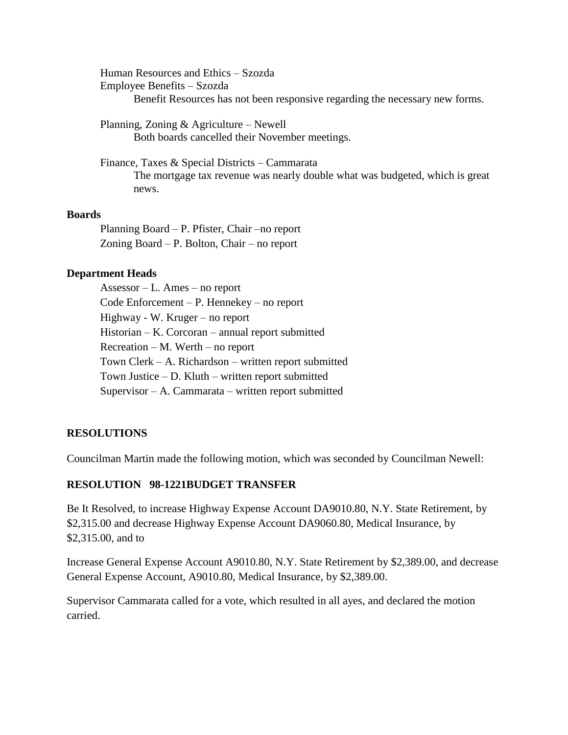Human Resources and Ethics – Szozda Employee Benefits – Szozda Benefit Resources has not been responsive regarding the necessary new forms.

Planning, Zoning & Agriculture – Newell Both boards cancelled their November meetings.

Finance, Taxes & Special Districts – Cammarata The mortgage tax revenue was nearly double what was budgeted, which is great news.

### **Boards**

Planning Board – P. Pfister, Chair –no report Zoning Board – P. Bolton, Chair – no report

### **Department Heads**

Assessor – L. Ames – no report Code Enforcement – P. Hennekey – no report Highway - W. Kruger – no report Historian – K. Corcoran – annual report submitted Recreation – M. Werth – no report Town Clerk – A. Richardson – written report submitted Town Justice – D. Kluth – written report submitted Supervisor – A. Cammarata – written report submitted

### **RESOLUTIONS**

Councilman Martin made the following motion, which was seconded by Councilman Newell:

# **RESOLUTION 98-1221BUDGET TRANSFER**

Be It Resolved, to increase Highway Expense Account DA9010.80, N.Y. State Retirement, by \$2,315.00 and decrease Highway Expense Account DA9060.80, Medical Insurance, by \$2,315.00, and to

Increase General Expense Account A9010.80, N.Y. State Retirement by \$2,389.00, and decrease General Expense Account, A9010.80, Medical Insurance, by \$2,389.00.

Supervisor Cammarata called for a vote, which resulted in all ayes, and declared the motion carried.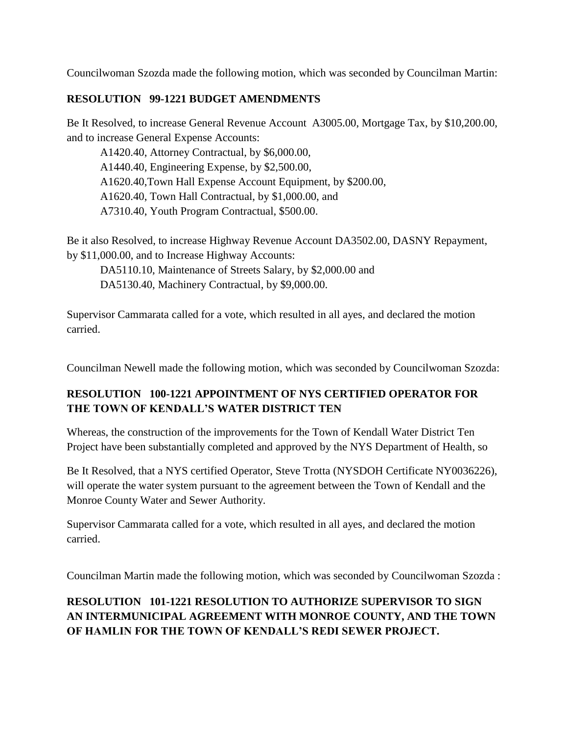Councilwoman Szozda made the following motion, which was seconded by Councilman Martin:

### **RESOLUTION 99-1221 BUDGET AMENDMENTS**

Be It Resolved, to increase General Revenue Account A3005.00, Mortgage Tax, by \$10,200.00, and to increase General Expense Accounts:

A1420.40, Attorney Contractual, by \$6,000.00, A1440.40, Engineering Expense, by \$2,500.00, A1620.40,Town Hall Expense Account Equipment, by \$200.00, A1620.40, Town Hall Contractual, by \$1,000.00, and A7310.40, Youth Program Contractual, \$500.00.

Be it also Resolved, to increase Highway Revenue Account DA3502.00, DASNY Repayment, by \$11,000.00, and to Increase Highway Accounts:

DA5110.10, Maintenance of Streets Salary, by \$2,000.00 and DA5130.40, Machinery Contractual, by \$9,000.00.

Supervisor Cammarata called for a vote, which resulted in all ayes, and declared the motion carried.

Councilman Newell made the following motion, which was seconded by Councilwoman Szozda:

### **RESOLUTION 100-1221 APPOINTMENT OF NYS CERTIFIED OPERATOR FOR THE TOWN OF KENDALL'S WATER DISTRICT TEN**

Whereas, the construction of the improvements for the Town of Kendall Water District Ten Project have been substantially completed and approved by the NYS Department of Health, so

Be It Resolved, that a NYS certified Operator, Steve Trotta (NYSDOH Certificate NY0036226), will operate the water system pursuant to the agreement between the Town of Kendall and the Monroe County Water and Sewer Authority.

Supervisor Cammarata called for a vote, which resulted in all ayes, and declared the motion carried.

Councilman Martin made the following motion, which was seconded by Councilwoman Szozda :

# **RESOLUTION 101-1221 RESOLUTION TO AUTHORIZE SUPERVISOR TO SIGN AN INTERMUNICIPAL AGREEMENT WITH MONROE COUNTY, AND THE TOWN OF HAMLIN FOR THE TOWN OF KENDALL'S REDI SEWER PROJECT.**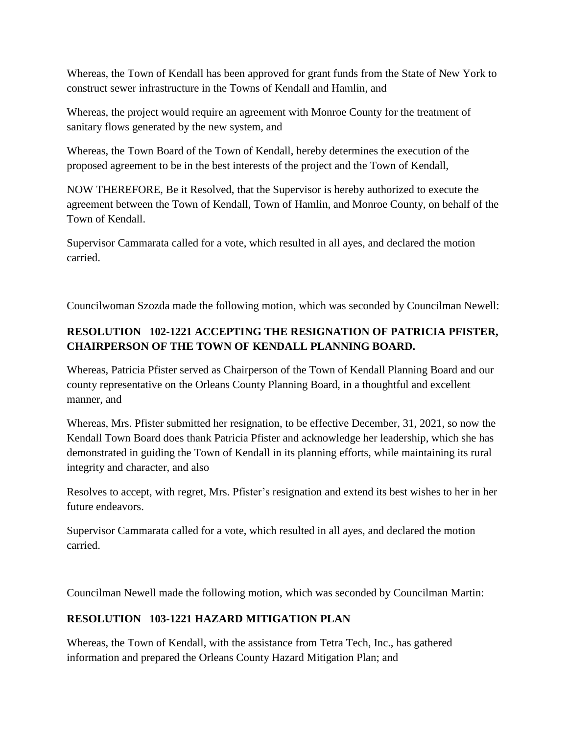Whereas, the Town of Kendall has been approved for grant funds from the State of New York to construct sewer infrastructure in the Towns of Kendall and Hamlin, and

Whereas, the project would require an agreement with Monroe County for the treatment of sanitary flows generated by the new system, and

Whereas, the Town Board of the Town of Kendall, hereby determines the execution of the proposed agreement to be in the best interests of the project and the Town of Kendall,

NOW THEREFORE, Be it Resolved, that the Supervisor is hereby authorized to execute the agreement between the Town of Kendall, Town of Hamlin, and Monroe County, on behalf of the Town of Kendall.

Supervisor Cammarata called for a vote, which resulted in all ayes, and declared the motion carried.

Councilwoman Szozda made the following motion, which was seconded by Councilman Newell:

# **RESOLUTION 102-1221 ACCEPTING THE RESIGNATION OF PATRICIA PFISTER, CHAIRPERSON OF THE TOWN OF KENDALL PLANNING BOARD.**

Whereas, Patricia Pfister served as Chairperson of the Town of Kendall Planning Board and our county representative on the Orleans County Planning Board, in a thoughtful and excellent manner, and

Whereas, Mrs. Pfister submitted her resignation, to be effective December, 31, 2021, so now the Kendall Town Board does thank Patricia Pfister and acknowledge her leadership, which she has demonstrated in guiding the Town of Kendall in its planning efforts, while maintaining its rural integrity and character, and also

Resolves to accept, with regret, Mrs. Pfister's resignation and extend its best wishes to her in her future endeavors.

Supervisor Cammarata called for a vote, which resulted in all ayes, and declared the motion carried.

Councilman Newell made the following motion, which was seconded by Councilman Martin:

### **RESOLUTION 103-1221 HAZARD MITIGATION PLAN**

Whereas, the Town of Kendall, with the assistance from Tetra Tech, Inc., has gathered information and prepared the Orleans County Hazard Mitigation Plan; and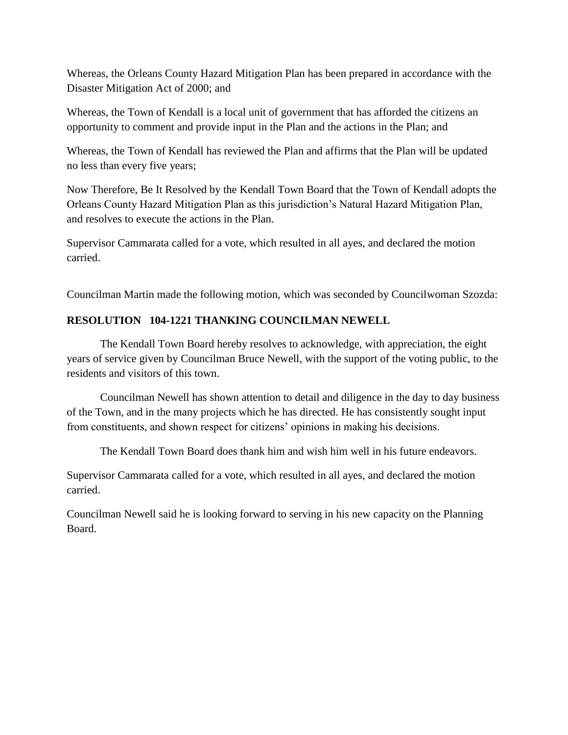Whereas, the Orleans County Hazard Mitigation Plan has been prepared in accordance with the Disaster Mitigation Act of 2000; and

Whereas, the Town of Kendall is a local unit of government that has afforded the citizens an opportunity to comment and provide input in the Plan and the actions in the Plan; and

Whereas, the Town of Kendall has reviewed the Plan and affirms that the Plan will be updated no less than every five years;

Now Therefore, Be It Resolved by the Kendall Town Board that the Town of Kendall adopts the Orleans County Hazard Mitigation Plan as this jurisdiction's Natural Hazard Mitigation Plan, and resolves to execute the actions in the Plan.

Supervisor Cammarata called for a vote, which resulted in all ayes, and declared the motion carried.

Councilman Martin made the following motion, which was seconded by Councilwoman Szozda:

### **RESOLUTION 104-1221 THANKING COUNCILMAN NEWELL**

The Kendall Town Board hereby resolves to acknowledge, with appreciation, the eight years of service given by Councilman Bruce Newell, with the support of the voting public, to the residents and visitors of this town.

Councilman Newell has shown attention to detail and diligence in the day to day business of the Town, and in the many projects which he has directed. He has consistently sought input from constituents, and shown respect for citizens' opinions in making his decisions.

The Kendall Town Board does thank him and wish him well in his future endeavors.

Supervisor Cammarata called for a vote, which resulted in all ayes, and declared the motion carried.

Councilman Newell said he is looking forward to serving in his new capacity on the Planning Board.